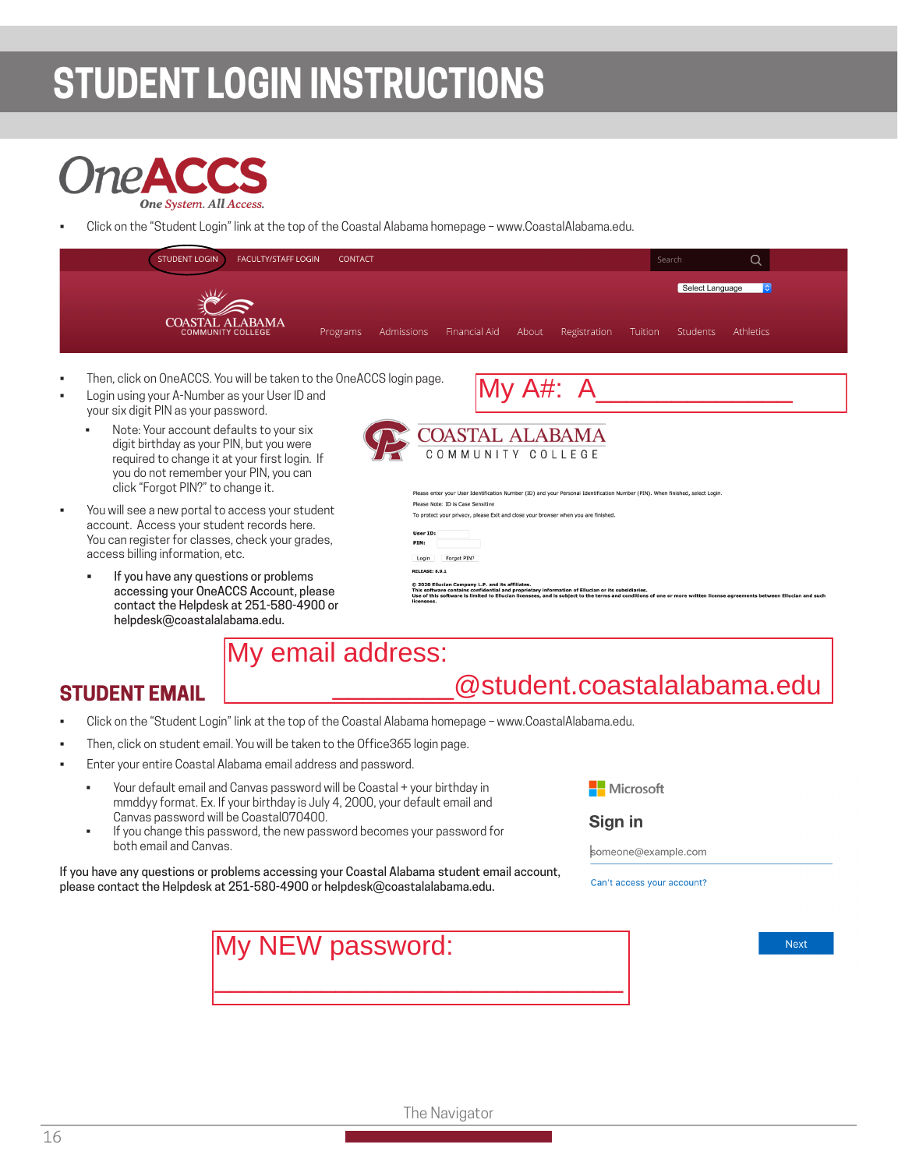# **STUDENT LOGIN INSTRUCTIONS**



• Click on the "Student Login" link at the top of the Coastal Alabama homepage – www.CoastalAlabama.edu.



- Note: Your account defaults to your six digit birthday as your PIN, but you were required to change it at your first login. If you do not remember your PIN, you can click "Forgot PIN?" to change it.
- You will see a new portal to access your student account. Access your student records here. You can register for classes, check your grades, access billing information, etc.
	- If you have any questions or problems accessing your OneACCS Account, please contact the Helpdesk at 251-580-4900 or helpdesk@coastalalabama.edu.

|  | COASTAL ALABAMA   |  |
|--|-------------------|--|
|  | COMMUNITY COLLEGE |  |

| User ID: |          |
|----------|----------|
| PIN:     |          |
|          | ook DIMO |

# My email address: UNITE the chief of the United Science of the COASTAL ALABAMA<br>
Severt User ID and<br>
faults to your six<br>
recorded to your six<br>
recorded to the United Science of the United Science of the COMMUNITY COLLEGE<br>
of the pour PIN, yo

## **STUDENT EMAIL**

- Click on the "Student Login" link at the top of the Coastal Alabama homepage www.CoastalAlabama.edu.
- Then, click on student email. You will be taken to the Office365 login page.
- Enter your entire Coastal Alabama email address and password.
	- Your default email and Canvas password will be Coastal + your birthday in mmddyy format. Ex. If your birthday is July 4, 2000, your default email and Canvas password will be Coastal070400.
	- If you change this password, the new password becomes your password for both email and Canvas.

If you have any questions or problems accessing your Coastal Alabama student email account, please contact the Helpdesk at 251-580-4900 or helpdesk@coastalalabama.edu.

#### Sign in

someone@example.com

Can't access your account?